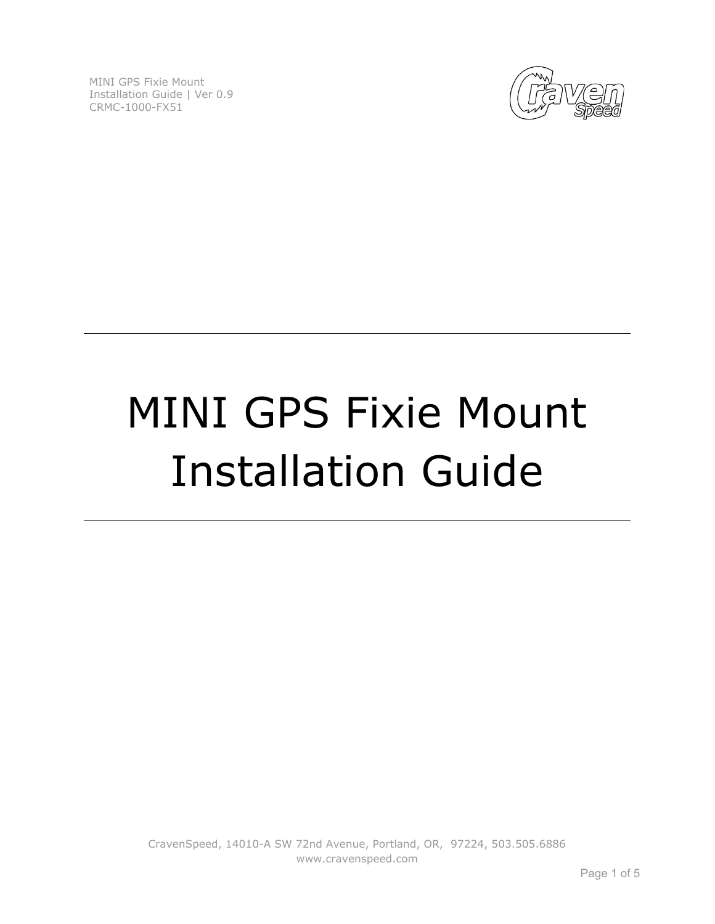

# MINI GPS Fixie Mount Installation Guide

CravenSpeed, 14010-A SW 72nd Avenue, Portland, OR, 97224, 503.505.6886 www.cravenspeed.com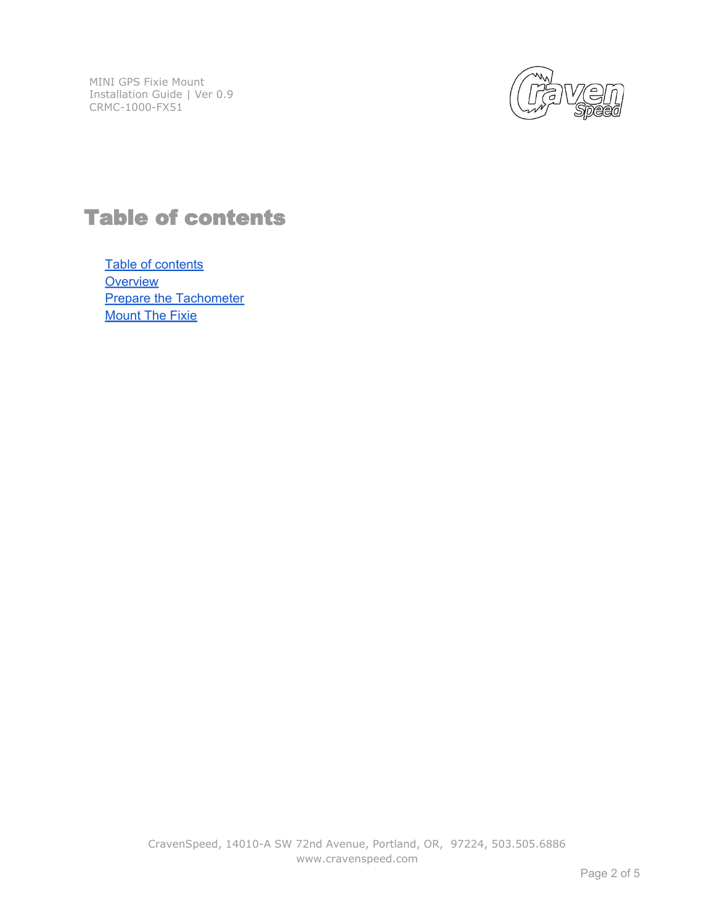

## Table of contents

Table of contents **[Overview](#page-2-0) [Prepare the Tachometer](#page-3-0) [Mount The Fixie](#page-3-0)**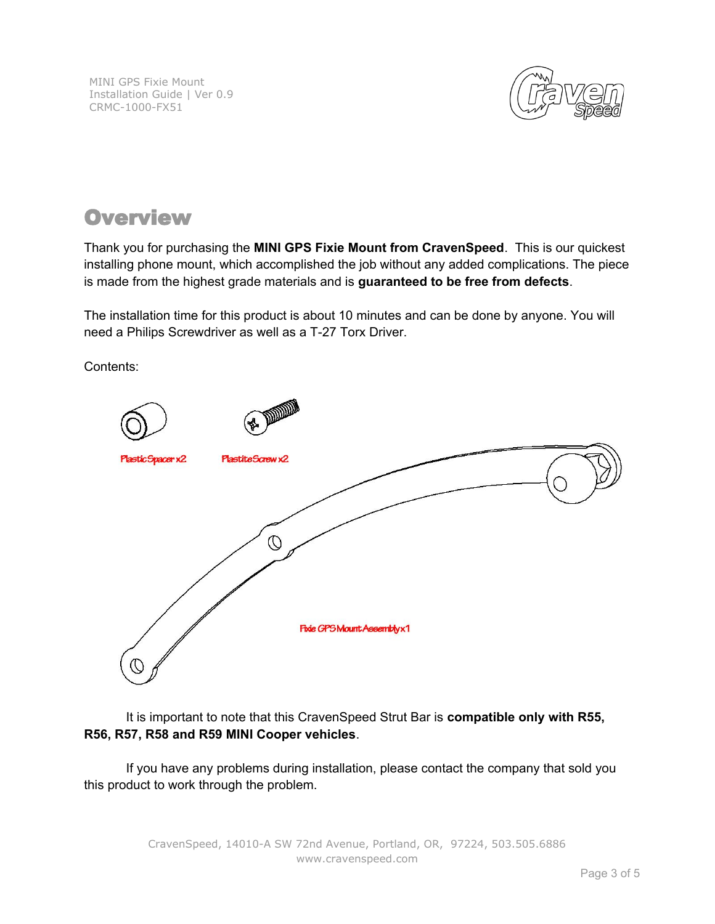

#### <span id="page-2-0"></span>**Overview**

Thank you for purchasing the **MINI GPS Fixie Mount from CravenSpeed**. This is our quickest installing phone mount, which accomplished the job without any added complications. The piece is made from the highest grade materials and is **guaranteed to be free from defects**.

The installation time for this product is about 10 minutes and can be done by anyone. You will need a Philips Screwdriver as well as a T-27 Torx Driver.

Contents:



It is important to note that this CravenSpeed Strut Bar is **compatible only with R55, R56, R57, R58 and R59 MINI Cooper vehicles**.

If you have any problems during installation, please contact the company that sold you this product to work through the problem.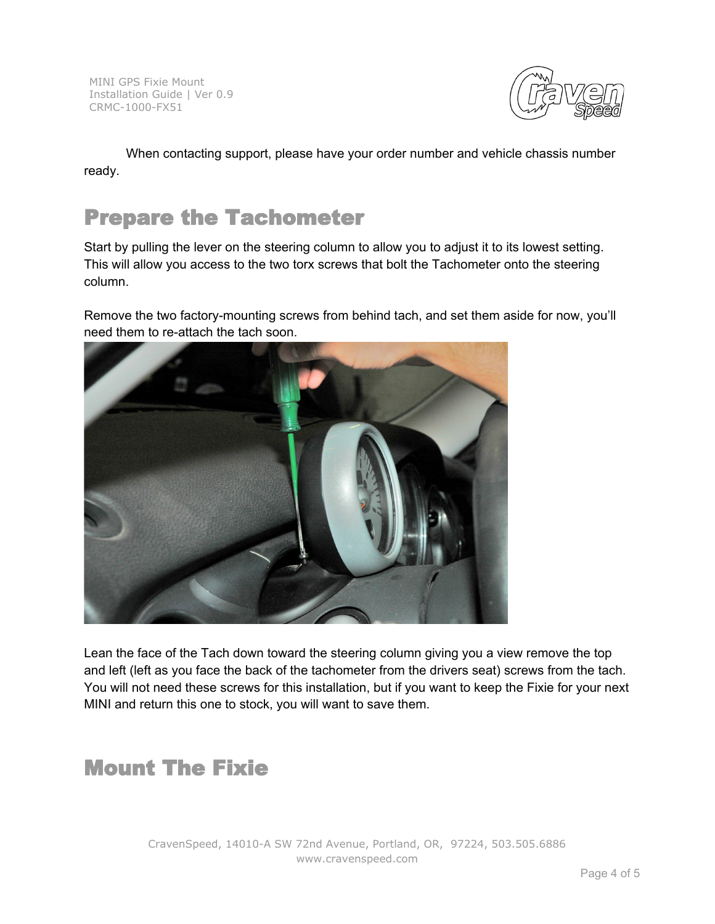

<span id="page-3-0"></span>When contacting support, please have your order number and vehicle chassis number ready.

### Prepare the Tachometer

Start by pulling the lever on the steering column to allow you to adjust it to its lowest setting. This will allow you access to the two torx screws that bolt the Tachometer onto the steering column.

Remove the two factory-mounting screws from behind tach, and set them aside for now, you'll need them to re-attach the tach soon.



Lean the face of the Tach down toward the steering column giving you a view remove the top and left (left as you face the back of the tachometer from the drivers seat) screws from the tach. You will not need these screws for this installation, but if you want to keep the Fixie for your next MINI and return this one to stock, you will want to save them.

## Mount The Fixie